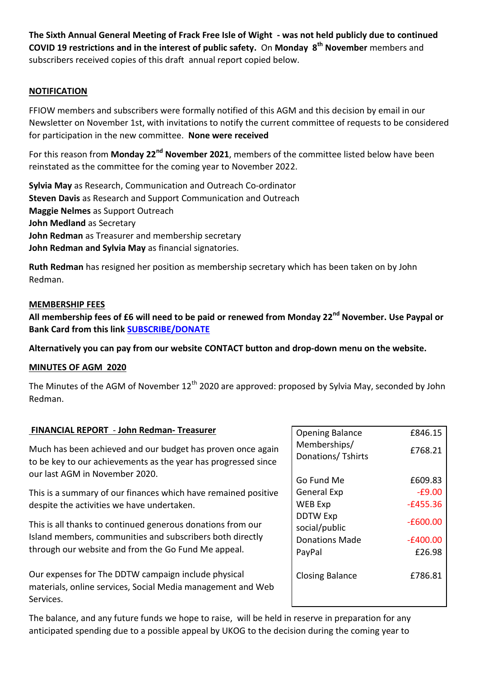**The Sixth Annual General Meeting of Frack Free Isle of Wight - was not held publicly due to continued COVID 19 restrictions and in the interest of public safety.** On **Monday 8th November** members and subscribers received copies of this draft annual report copied below.

### **NOTIFICATION**

FFIOW members and subscribers were formally notified of this AGM and this decision by email in our Newsletter on November 1st, with invitations to notify the current committee of requests to be considered for participation in the new committee. **None were received**

For this reason from **Monday 22nd November 2021**, members of the committee listed below have been reinstated as the committee for the coming year to November 2022.

**Sylvia May** as Research, Communication and Outreach Co-ordinator **Steven Davis** as Research and Support Communication and Outreach **Maggie Nelmes** as Support Outreach **John Medland** as Secretary **John Redman** as Treasurer and membership secretary **John Redman and Sylvia May** as financial signatories.

**Ruth Redman** has resigned her position as membership secretary which has been taken on by John Redman.

#### **MEMBERSHIP FEES**

**All membership fees of £6 will need to be paid or renewed from Monday 22nd November. Use Paypal or Bank Card from this link [SUBSCRIBE/DONATE](https://www.dontdrillthewight.co.uk/subscribe-donate)**

**Alternatively you can pay from our website CONTACT button and drop-down menu on the website.**

#### **MINUTES OF AGM 2020**

The Minutes of the AGM of November  $12<sup>th</sup>$  2020 are approved: proposed by Sylvia May, seconded by John Redman.

#### **FINANCIAL REPORT** - **John Redman- Treasurer**

Much has been achieved and our budget has proven once again to be key to our achievements as the year has progressed since our last AGM in November 2020.

This is a summary of our finances which have remained positive despite the activities we have undertaken.

This is all thanks to continued generous donations from our Island members, communities and subscribers both directly through our website and from the Go Fund Me appeal.

Our expenses for The DDTW campaign include physical materials, online services, Social Media management and Web Services.

Opening Balance £846.15 Memberships/ Donations/ Tshirts £768.21 Go Fund Me 609.83 General Exp -£9.00 WEB Exp -£455.36 DDTW Exp  $\frac{3600}{200}$  social/public  $\frac{2600}{200}$ Donations Made -£400.00 PayPal **E26.98** Closing Balance £786.81

The balance, and any future funds we hope to raise, will be held in reserve in preparation for any anticipated spending due to a possible appeal by UKOG to the decision during the coming year to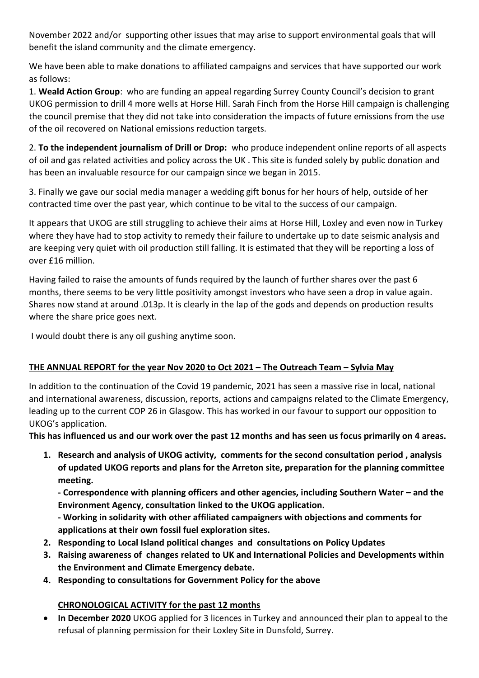November 2022 and/or supporting other issues that may arise to support environmental goals that will benefit the island community and the climate emergency.

We have been able to make donations to affiliated campaigns and services that have supported our work as follows:

1. **Weald Action Group**: who are funding an appeal regarding Surrey County Council's decision to grant UKOG permission to drill 4 more wells at Horse Hill. Sarah Finch from the Horse Hill campaign is challenging the council premise that they did not take into consideration the impacts of future emissions from the use of the oil recovered on National emissions reduction targets.

2. **To the independent journalism of Drill or Drop:** who produce independent online reports of all aspects of oil and gas related activities and policy across the UK . This site is funded solely by public donation and has been an invaluable resource for our campaign since we began in 2015.

3. Finally we gave our social media manager a wedding gift bonus for her hours of help, outside of her contracted time over the past year, which continue to be vital to the success of our campaign.

It appears that UKOG are still struggling to achieve their aims at Horse Hill, Loxley and even now in Turkey where they have had to stop activity to remedy their failure to undertake up to date seismic analysis and are keeping very quiet with oil production still falling. It is estimated that they will be reporting a loss of over £16 million.

Having failed to raise the amounts of funds required by the launch of further shares over the past 6 months, there seems to be very little positivity amongst investors who have seen a drop in value again. Shares now stand at around .013p. It is clearly in the lap of the gods and depends on production results where the share price goes next.

I would doubt there is any oil gushing anytime soon.

# **THE ANNUAL REPORT for the year Nov 2020 to Oct 2021 – The Outreach Team – Sylvia May**

In addition to the continuation of the Covid 19 pandemic, 2021 has seen a massive rise in local, national and international awareness, discussion, reports, actions and campaigns related to the Climate Emergency, leading up to the current COP 26 in Glasgow. This has worked in our favour to support our opposition to UKOG's application.

**This has influenced us and our work over the past 12 months and has seen us focus primarily on 4 areas.**

**1. Research and analysis of UKOG activity, comments for the second consultation period , analysis of updated UKOG reports and plans for the Arreton site, preparation for the planning committee meeting.**

**- Correspondence with planning officers and other agencies, including Southern Water – and the Environment Agency, consultation linked to the UKOG application.**

**- Working in solidarity with other affiliated campaigners with objections and comments for applications at their own fossil fuel exploration sites.** 

- **2. Responding to Local Island political changes and consultations on Policy Updates**
- **3. Raising awareness of changes related to UK and International Policies and Developments within the Environment and Climate Emergency debate.**
- **4. Responding to consultations for Government Policy for the above**

# **CHRONOLOGICAL ACTIVITY for the past 12 months**

 **In December 2020** UKOG applied for 3 licences in Turkey and announced their plan to appeal to the refusal of planning permission for their Loxley Site in Dunsfold, Surrey.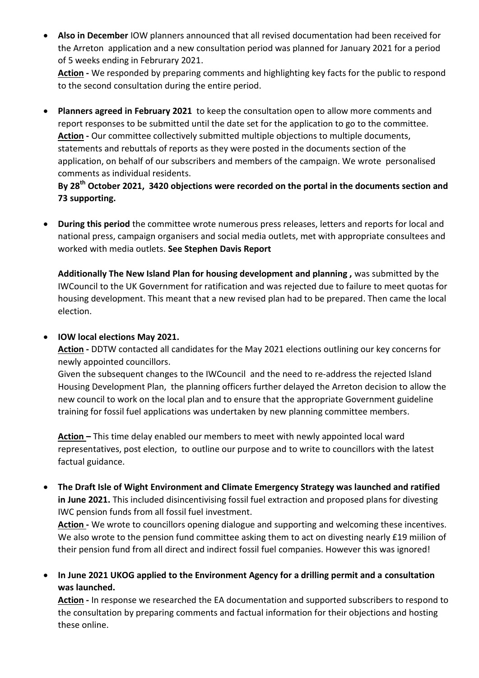**Also in December** IOW planners announced that all revised documentation had been received for the Arreton application and a new consultation period was planned for January 2021 for a period of 5 weeks ending in Februrary 2021.

**Action -** We responded by preparing comments and highlighting key facts for the public to respond to the second consultation during the entire period.

 **Planners agreed in February 2021** to keep the consultation open to allow more comments and report responses to be submitted until the date set for the application to go to the committee. **Action -** Our committee collectively submitted multiple objections to multiple documents, statements and rebuttals of reports as they were posted in the documents section of the application, on behalf of our subscribers and members of the campaign. We wrote personalised comments as individual residents.

# **By 28th October 2021, 3420 objections were recorded on the portal in the documents section and 73 supporting.**

 **During this period** the committee wrote numerous press releases, letters and reports for local and national press, campaign organisers and social media outlets, met with appropriate consultees and worked with media outlets. **See Stephen Davis Report** 

**Additionally The New Island Plan for housing development and planning ,** was submitted by the IWCouncil to the UK Government for ratification and was rejected due to failure to meet quotas for housing development. This meant that a new revised plan had to be prepared. Then came the local election.

## **IOW local elections May 2021.**

**Action -** DDTW contacted all candidates for the May 2021 elections outlining our key concerns for newly appointed councillors.

Given the subsequent changes to the IWCouncil and the need to re-address the rejected Island Housing Development Plan, the planning officers further delayed the Arreton decision to allow the new council to work on the local plan and to ensure that the appropriate Government guideline training for fossil fuel applications was undertaken by new planning committee members.

**Action –** This time delay enabled our members to meet with newly appointed local ward representatives, post election, to outline our purpose and to write to councillors with the latest factual guidance.

 **The Draft Isle of Wight Environment and Climate Emergency Strategy was launched and ratified in June 2021.** This included disincentivising fossil fuel extraction and proposed plans for divesting IWC pension funds from all fossil fuel investment.

Action - We wrote to councillors opening dialogue and supporting and welcoming these incentives. We also wrote to the pension fund committee asking them to act on divesting nearly £19 miilion of their pension fund from all direct and indirect fossil fuel companies. However this was ignored!

 **In June 2021 UKOG applied to the Environment Agency for a drilling permit and a consultation was launched.**

**Action -** In response we researched the EA documentation and supported subscribers to respond to the consultation by preparing comments and factual information for their objections and hosting these online.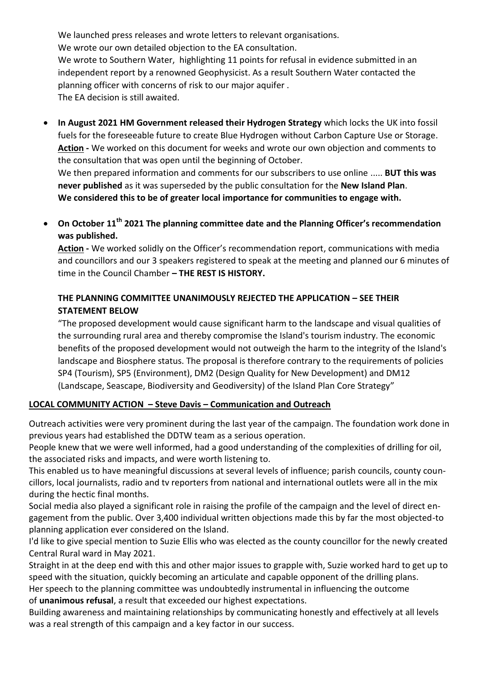We launched press releases and wrote letters to relevant organisations. We wrote our own detailed objection to the EA consultation. We wrote to Southern Water, highlighting 11 points for refusal in evidence submitted in an independent report by a renowned Geophysicist. As a result Southern Water contacted the planning officer with concerns of risk to our major aquifer . The EA decision is still awaited.

 **In August 2021 HM Government released their Hydrogen Strategy** which locks the UK into fossil fuels for the foreseeable future to create Blue Hydrogen without Carbon Capture Use or Storage. **Action -** We worked on this document for weeks and wrote our own objection and comments to the consultation that was open until the beginning of October.

We then prepared information and comments for our subscribers to use online ..... **BUT this was never published** as it was superseded by the public consultation for the **New Island Plan**. **We considered this to be of greater local importance for communities to engage with.**

 **On October 11th 2021 The planning committee date and the Planning Officer's recommendation was published.** 

**Action -** We worked solidly on the Officer's recommendation report, communications with media and councillors and our 3 speakers registered to speak at the meeting and planned our 6 minutes of time in the Council Chamber **– THE REST IS HISTORY.**

# **THE PLANNING COMMITTEE UNANIMOUSLY REJECTED THE APPLICATION – SEE THEIR STATEMENT BELOW**

"The proposed development would cause significant harm to the landscape and visual qualities of the surrounding rural area and thereby compromise the Island's tourism industry. The economic benefits of the proposed development would not outweigh the harm to the integrity of the Island's landscape and Biosphere status. The proposal is therefore contrary to the requirements of policies SP4 (Tourism), SP5 (Environment), DM2 (Design Quality for New Development) and DM12 (Landscape, Seascape, Biodiversity and Geodiversity) of the Island Plan Core Strategy"

# **LOCAL COMMUNITY ACTION – Steve Davis – Communication and Outreach**

Outreach activities were very prominent during the last year of the campaign. The foundation work done in previous years had established the DDTW team as a serious operation.

People knew that we were well informed, had a good understanding of the complexities of drilling for oil, the associated risks and impacts, and were worth listening to.

This enabled us to have meaningful discussions at several levels of influence; parish councils, county councillors, local journalists, radio and tv reporters from national and international outlets were all in the mix during the hectic final months.

Social media also played a significant role in raising the profile of the campaign and the level of direct engagement from the public. Over 3,400 individual written objections made this by far the most objected-to planning application ever considered on the Island.

I'd like to give special mention to Suzie Ellis who was elected as the county councillor for the newly created Central Rural ward in May 2021.

Straight in at the deep end with this and other major issues to grapple with, Suzie worked hard to get up to speed with the situation, quickly becoming an articulate and capable opponent of the drilling plans. Her speech to the planning committee was undoubtedly instrumental in influencing the outcome

of **unanimous refusal**, a result that exceeded our highest expectations.

Building awareness and maintaining relationships by communicating honestly and effectively at all levels was a real strength of this campaign and a key factor in our success.